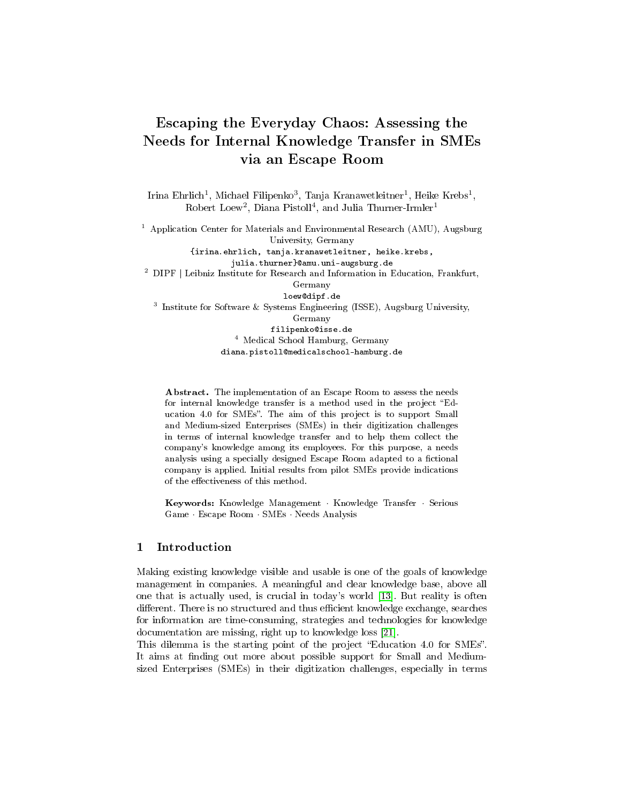# Escaping the Everyday Chaos: Assessing the Needs for Internal Knowledge Transfer in SMEs via an Escape Room

Irina Ehrlich<sup>1</sup>, Michael Filipenko<sup>3</sup>, Tanja Kranawetleitner<sup>1</sup>, Heike Krebs<sup>1</sup>,  $Robert Loew<sup>2</sup>, Diana Pistoll<sup>4</sup>, and Julia Thurner-Irmler<sup>1</sup>$ 

<sup>1</sup> Application Center for Materials and Environmental Research (AMU), Augsburg University, Germany {irina.ehrlich, tanja.kranawetleitner, heike.krebs, julia.thurner}@amu.uni-augsburg.de  $2$  DIPF | Leibniz Institute for Research and Information in Education, Frankfurt, Germany loew@dipf.de <sup>3</sup> Institute for Software & Systems Engineering (ISSE), Augsburg University,

Germany filipenko@isse.de <sup>4</sup> Medical School Hamburg, Germany diana.pistoll@medicalschool-hamburg.de

Abstract. The implementation of an Escape Room to assess the needs for internal knowledge transfer is a method used in the project "Education 4.0 for SMEs". The aim of this project is to support Small and Medium-sized Enterprises (SMEs) in their digitization challenges in terms of internal knowledge transfer and to help them collect the company's knowledge among its employees. For this purpose, a needs analysis using a specially designed Escape Room adapted to a fictional company is applied. Initial results from pilot SMEs provide indications of the effectiveness of this method.

Keywords: Knowledge Management · Knowledge Transfer · Serious Game · Escape Room · SMEs · Needs Analysis

### 1 Introduction

Making existing knowledge visible and usable is one of the goals of knowledge management in companies. A meaningful and clear knowledge base, above all one that is actually used, is crucial in today's world [\[13\]](#page-12-0). But reality is often different. There is no structured and thus efficient knowledge exchange, searches for information are time-consuming, strategies and technologies for knowledge documentation are missing, right up to knowledge loss [\[21\]](#page-13-0).

This dilemma is the starting point of the project "Education 4.0 for SMEs". It aims at finding out more about possible support for Small and Mediumsized Enterprises (SMEs) in their digitization challenges, especially in terms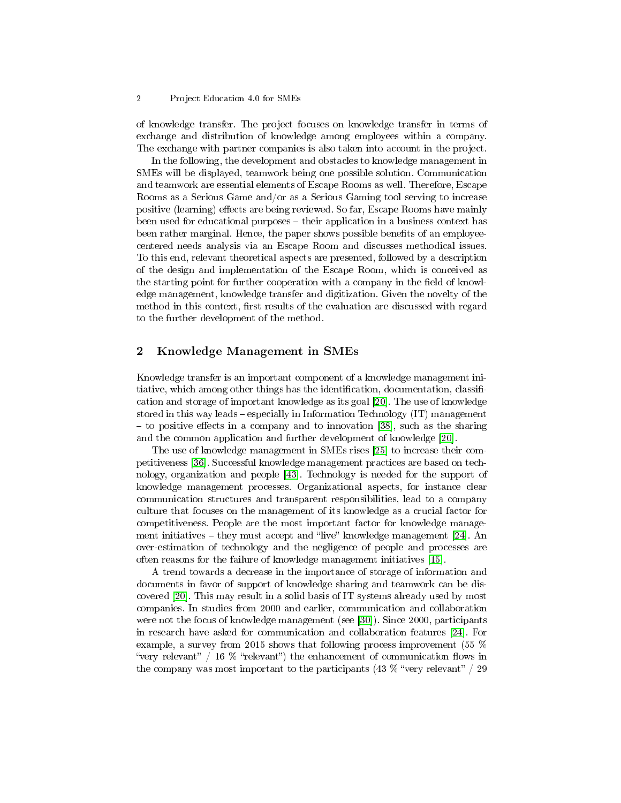### 2 Project Education 4.0 for SMEs

of knowledge transfer. The project focuses on knowledge transfer in terms of exchange and distribution of knowledge among employees within a company. The exchange with partner companies is also taken into account in the project.

In the following, the development and obstacles to knowledge management in SMEs will be displayed, teamwork being one possible solution. Communication and teamwork are essential elements of Escape Rooms as well. Therefore, Escape Rooms as a Serious Game and/or as a Serious Gaming tool serving to increase positive (learning) effects are being reviewed. So far, Escape Rooms have mainly been used for educational purposes their application in a business context has been rather marginal. Hence, the paper shows possible benefits of an employeecentered needs analysis via an Escape Room and discusses methodical issues. To this end, relevant theoretical aspects are presented, followed by a description of the design and implementation of the Escape Room, which is conceived as the starting point for further cooperation with a company in the field of knowledge management, knowledge transfer and digitization. Given the novelty of the method in this context, first results of the evaluation are discussed with regard to the further development of the method.

### 2 Knowledge Management in SMEs

Knowledge transfer is an important component of a knowledge management initiative, which among other things has the identification, documentation, classification and storage of important knowledge as its goal [\[20\]](#page-13-1). The use of knowledge stored in this way leads especially in Information Technology (IT) management  $-$  to positive effects in a company and to innovation [\[38\]](#page-14-0), such as the sharing and the common application and further development of knowledge [\[20\]](#page-13-1).

The use of knowledge management in SMEs rises [\[25\]](#page-13-2) to increase their competitiveness [\[36\]](#page-14-1). Successful knowledge management practices are based on technology, organization and people [\[43\]](#page-14-2). Technology is needed for the support of knowledge management processes. Organizational aspects, for instance clear communication structures and transparent responsibilities, lead to a company culture that focuses on the management of its knowledge as a crucial factor for competitiveness. People are the most important factor for knowledge management initiatives  $-$  they must accept and "live" knowledge management [\[24\]](#page-13-3). An over-estimation of technology and the negligence of people and processes are often reasons for the failure of knowledge management initiatives [\[15\]](#page-13-4).

A trend towards a decrease in the importance of storage of information and documents in favor of support of knowledge sharing and teamwork can be discovered [\[20\]](#page-13-1). This may result in a solid basis of IT systems already used by most companies. In studies from 2000 and earlier, communication and collaboration were not the focus of knowledge management (see [\[30\]](#page-13-5)). Since 2000, participants in research have asked for communication and collaboration features [\[24\]](#page-13-3). For example, a survey from 2015 shows that following process improvement (55 % "very relevant" / 16  $\%$  "relevant") the enhancement of communication flows in the company was most important to the participants  $(43\%$  "very relevant" / 29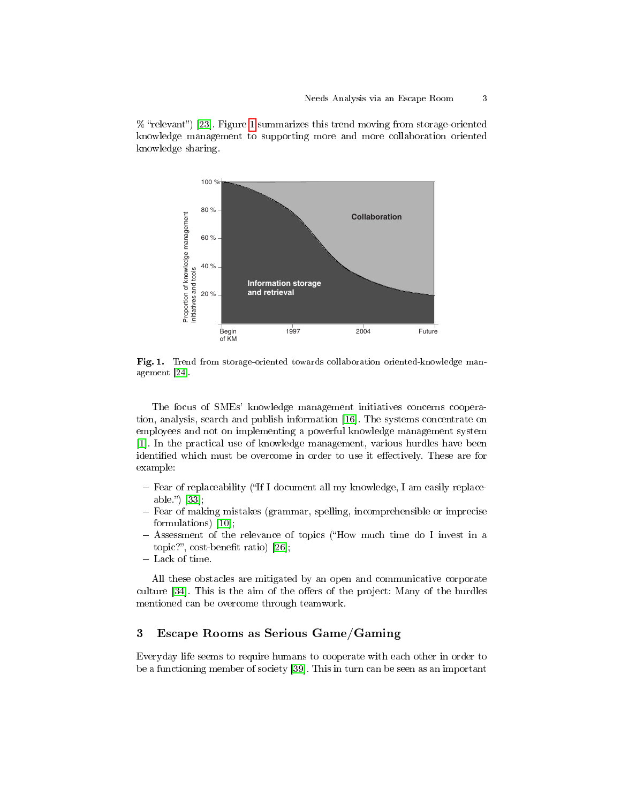

 $%$  "relevant") [\[23\]](#page-13-6). Figure [1](#page-2-0) summarizes this trend moving from storage-oriented knowledge management to supporting more and more collaboration oriented knowledge sharing. The state of  $\mathbb{R}^n$  is  $\mathbb{R}^n$  in  $\mathbb{R}^n$  and  $\mathbb{R}^n$  is  $\mathbb{R}^n$  in  $\mathbb{R}^n$  is  $\mathbb{R}^n$  in  $\mathbb{R}^n$  is  $\mathbb{R}^n$  in  $\mathbb{R}^n$  is  $\mathbb{R}^n$  in  $\mathbb{R}^n$  is  $\mathbb{R}^n$  in  $\mathbb{R}$ 

<span id="page-2-0"></span>*Figure 3.1-2 Trend from storage oriented up to collaboration oriented* Fig. 1. Trend from storage-oriented towards collaboration oriented-knowledge management [\[24\]](#page-13-3).

The focus of SMEs' knowledge management initiatives concerns coopera-tion, analysis, search and publish information [\[16\]](#page-13-7). The systems concentrate on employees and not on implementing a powerful knowledge management system identified which must be overcome in order to use it effectively. These are for [\[1\]](#page-12-1). In the practical use of knowledge management, various hurdles have been example:

- Fear of replaceability ("If I document all my knowledge, I am easily replacesuccessful  $[33]$ ; 2004) led to building experiment networks  $[200]$ able." $\vert$  [\[33\]](#page-14-3);
- $-$  Fear of making mistakes (grammar, spelling, incomprehensible or imprecise formulations) [\[10\]](#page-12-2);
- $-$  Assessment of the relevance of topics ("How much time do I invest in a topic?", cost-benefit ratio)  $[26]$ ;
- Lack of time.

All these obstacles are mitigated by an open and communicative corporate culture [\[34\]](#page-14-4). This is the aim of the offers of the project: Many of the hurdles mentioned can be overcome through teamwork.

### 3 Escape Rooms as Serious Game/Gaming

Everyday life seems to require humans to cooperate with each other in order to be a functioning member of society [\[39\]](#page-14-5). This in turn can be seen as an important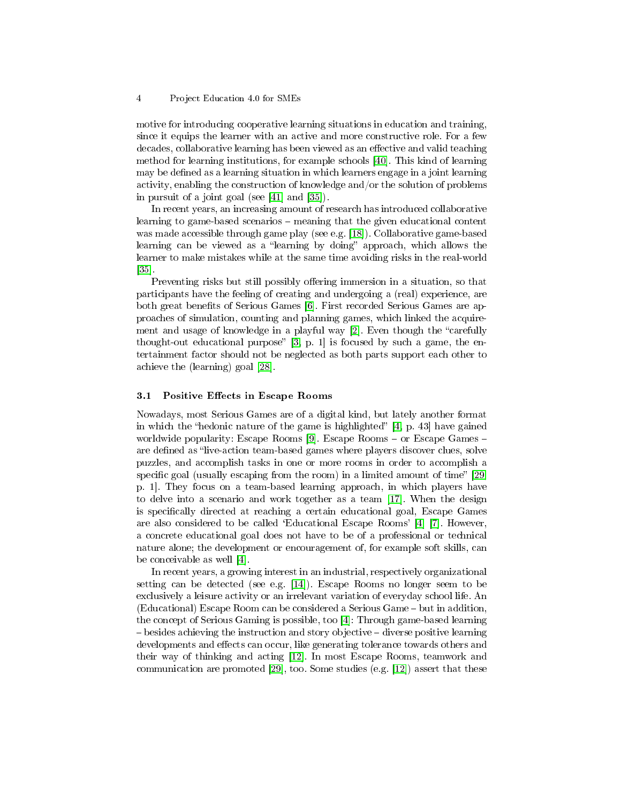motive for introducing cooperative learning situations in education and training, since it equips the learner with an active and more constructive role. For a few decades, collaborative learning has been viewed as an effective and valid teaching method for learning institutions, for example schools [\[40\]](#page-14-6). This kind of learning may be defined as a learning situation in which learners engage in a joint learning activity, enabling the construction of knowledge and/or the solution of problems in pursuit of a joint goal (see [\[41\]](#page-14-7) and [\[35\]](#page-14-8)).

In recent years, an increasing amount of research has introduced collaborative learning to game-based scenarios – meaning that the given educational content was made accessible through game play (see e.g. [\[18\]](#page-13-9)). Collaborative game-based learning can be viewed as a "learning by doing" approach, which allows the learner to make mistakes while at the same time avoiding risks in the real-world [\[35\]](#page-14-8).

Preventing risks but still possibly offering immersion in a situation, so that participants have the feeling of creating and undergoing a (real) experience, are both great benefits of Serious Games [\[6\]](#page-12-3). First recorded Serious Games are approaches of simulation, counting and planning games, which linked the acquirement and usage of knowledge in a playful way  $[2]$ . Even though the "carefully thought-out educational purpose"  $[3, p. 1]$  $[3, p. 1]$  is focused by such a game, the entertainment factor should not be neglected as both parts support each other to achieve the (learning) goal [\[28\]](#page-13-10).

### 3.1 Positive Effects in Escape Rooms

Nowadays, most Serious Games are of a digital kind, but lately another format in which the "hedonic nature of the game is highlighted"  $[4, p. 43]$  $[4, p. 43]$  have gained worldwide popularity: Escape Rooms  $[9]$ . Escape Rooms – or Escape Games – are defined as "live-action team-based games where players discover clues, solve puzzles, and accomplish tasks in one or more rooms in order to accomplish a specific goal (usually escaping from the room) in a limited amount of time"  $[29,$ p. 1]. They focus on a team-based learning approach, in which players have to delve into a scenario and work together as a team [\[17\]](#page-13-12). When the design is specifically directed at reaching a certain educational goal, Escape Games are also considered to be called `Educational Escape Rooms' [\[4\]](#page-12-6) [\[7\]](#page-12-8). However, a concrete educational goal does not have to be of a professional or technical nature alone; the development or encouragement of, for example soft skills, can be conceivable as well [\[4\]](#page-12-6).

In recent years, a growing interest in an industrial, respectively organizational setting can be detected (see e.g. [\[14\]](#page-13-13)). Escape Rooms no longer seem to be exclusively a leisure activity or an irrelevant variation of everyday school life. An (Educational) Escape Room can be considered a Serious Game – but in addition, the concept of Serious Gaming is possible, too [\[4\]](#page-12-6): Through game-based learning  $-\overline{b}$  besides achieving the instruction and story objective  $-\overline{d}$  diverse positive learning developments and effects can occur, like generating tolerance towards others and their way of thinking and acting [\[12\]](#page-12-9). In most Escape Rooms, teamwork and communication are promoted [\[29\]](#page-13-11), too. Some studies (e.g. [\[12\]](#page-12-9)) assert that these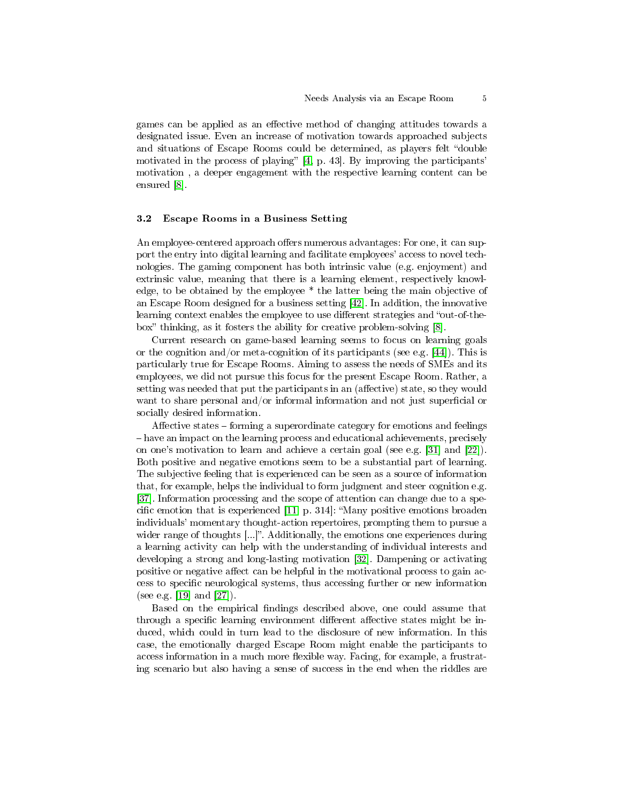games can be applied as an effective method of changing attitudes towards a designated issue. Even an increase of motivation towards approached subjects and situations of Escape Rooms could be determined, as players felt "double" motivated in the process of playing"  $[4, p. 43]$  $[4, p. 43]$ . By improving the participants' motivation , a deeper engagement with the respective learning content can be ensured [\[8\]](#page-12-10).

### 3.2 Escape Rooms in a Business Setting

An employee-centered approach offers numerous advantages: For one, it can support the entry into digital learning and facilitate employees' access to novel technologies. The gaming component has both intrinsic value (e.g. enjoyment) and extrinsic value, meaning that there is a learning element, respectively knowledge, to be obtained by the employee \* the latter being the main objective of an Escape Room designed for a business setting [\[42\]](#page-14-9). In addition, the innovative learning context enables the employee to use different strategies and "out-of-the-box" thinking, as it fosters the ability for creative problem-solving [\[8\]](#page-12-10).

Current research on game-based learning seems to focus on learning goals or the cognition and/or meta-cognition of its participants (see e.g.  $[44]$ ). This is particularly true for Escape Rooms. Aiming to assess the needs of SMEs and its employees, we did not pursue this focus for the present Escape Room. Rather, a setting was needed that put the participants in an (affective) state, so they would want to share personal and/or informal information and not just superficial or socially desired information.

Affective states  $-$  forming a superordinate category for emotions and feelings have an impact on the learning process and educational achievements, precisely on one's motivation to learn and achieve a certain goal (see e.g. [\[31\]](#page-14-11) and [\[22\]](#page-13-14)). Both positive and negative emotions seem to be a substantial part of learning. The subjective feeling that is experienced can be seen as a source of information that, for example, helps the individual to form judgment and steer cognition e.g. [\[37\]](#page-14-12). Information processing and the scope of attention can change due to a specific emotion that is experienced  $[11, p. 314]$  $[11, p. 314]$ : "Many positive emotions broaden individuals' momentary thought-action repertoires, prompting them to pursue a wider range of thoughts [...]". Additionally, the emotions one experiences during a learning activity can help with the understanding of individual interests and developing a strong and long-lasting motivation [\[32\]](#page-14-13). Dampening or activating positive or negative affect can be helpful in the motivational process to gain access to specific neurological systems, thus accessing further or new information (see e.g. [\[19\]](#page-13-15) and [\[27\]](#page-13-16)).

Based on the empirical findings described above, one could assume that through a specific learning environment different affective states might be induced, which could in turn lead to the disclosure of new information. In this case, the emotionally charged Escape Room might enable the participants to access information in a much more flexible way. Facing, for example, a frustrating scenario but also having a sense of success in the end when the riddles are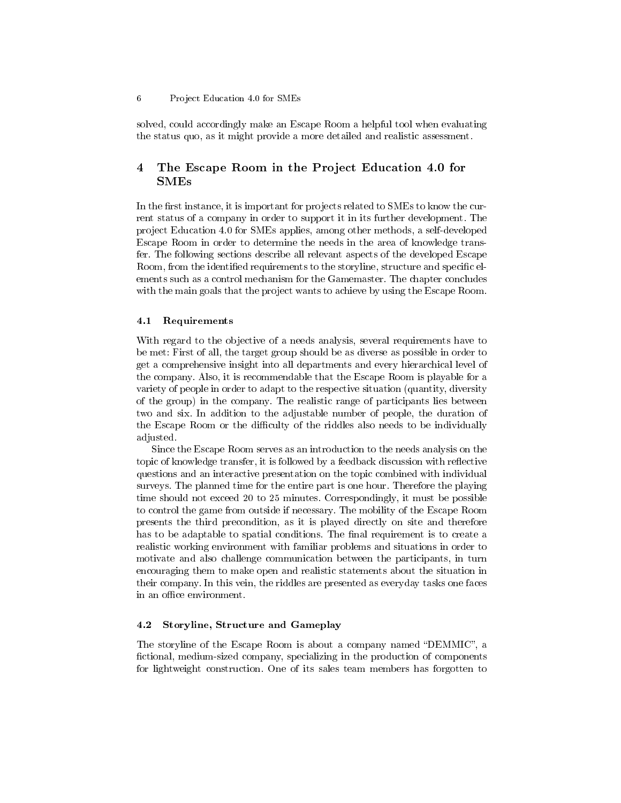solved, could accordingly make an Escape Room a helpful tool when evaluating the status quo, as it might provide a more detailed and realistic assessment.

# 4 The Escape Room in the Project Education 4.0 for  ${\rm SMEs}$

In the first instance, it is important for projects related to SMEs to know the current status of a company in order to support it in its further development. The project Education 4.0 for SMEs applies, among other methods, a self-developed Escape Room in order to determine the needs in the area of knowledge transfer. The following sections describe all relevant aspects of the developed Escape Room, from the identified requirements to the storyline, structure and specific elements such as a control mechanism for the Gamemaster. The chapter concludes with the main goals that the project wants to achieve by using the Escape Room.

#### 4.1 Requirements

With regard to the objective of a needs analysis, several requirements have to be met: First of all, the target group should be as diverse as possible in order to get a comprehensive insight into all departments and every hierarchical level of the company. Also, it is recommendable that the Escape Room is playable for a variety of people in order to adapt to the respective situation (quantity, diversity of the group) in the company. The realistic range of participants lies between two and six. In addition to the adjustable number of people, the duration of the Escape Room or the difficulty of the riddles also needs to be individually adjusted.

Since the Escape Room serves as an introduction to the needs analysis on the topic of knowledge transfer, it is followed by a feedback discussion with reflective questions and an interactive presentation on the topic combined with individual surveys. The planned time for the entire part is one hour. Therefore the playing time should not exceed 20 to 25 minutes. Correspondingly, it must be possible to control the game from outside if necessary. The mobility of the Escape Room presents the third precondition, as it is played directly on site and therefore has to be adaptable to spatial conditions. The final requirement is to create a realistic working environment with familiar problems and situations in order to motivate and also challenge communication between the participants, in turn encouraging them to make open and realistic statements about the situation in their company. In this vein, the riddles are presented as everyday tasks one faces in an office environment.

### 4.2 Storyline, Structure and Gameplay

The storyline of the Escape Room is about a company named "DEMMIC", a fictional, medium-sized company, specializing in the production of components for lightweight construction. One of its sales team members has forgotten to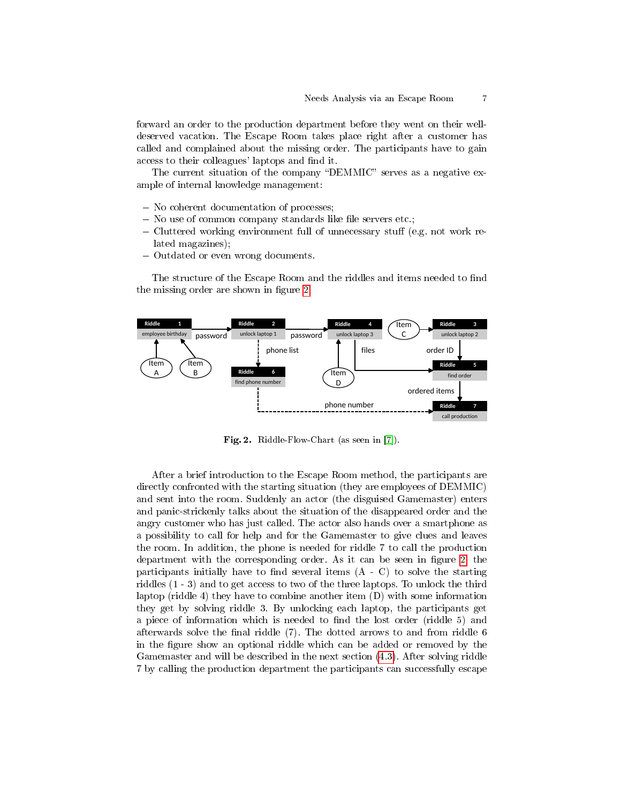forward an order to the production department before they went on their welldeserved vacation. The Escape Room takes place right after a customer has called and complained about the missing order. The participants have to gain access to their colleagues' laptops and find it.

The current situation of the company "DEMMIC" serves as a negative example of internal knowledge management:

- No coherent documentation of processes;
- $-$  No use of common company standards like file servers etc.;
- $\sim$  Cluttered working environment full of unnecessary stuff (e.g. not work related magazines);
- Outdated or even wrong documents.

The structure of the Escape Room and the riddles and items needed to find the missing order are shown in figure [2.](#page-6-0)



<span id="page-6-0"></span>Fig. 2. Riddle-Flow-Chart (as seen in [\[7\]](#page-12-8)).

After a brief introduction to the Escape Room method, the participants are directly confronted with the starting situation (they are employees of DEMMIC) and sent into the room. Suddenly an actor (the disguised Gamemaster) enters and panic-strickenly talks about the situation of the disappeared order and the angry customer who has just called. The actor also hands over a smartphone as a possibility to call for help and for the Gamemaster to give clues and leaves the room. In addition, the phone is needed for riddle 7 to call the production department with the corresponding order. As it can be seen in figure  $2$ , the participants initially have to find several items  $(A - C)$  to solve the starting riddles (1 - 3) and to get access to two of the three laptops. To unlock the third laptop (riddle 4) they have to combine another item (D) with some information they get by solving riddle 3. By unlocking each laptop, the participants get a piece of information which is needed to find the lost order (riddle 5) and afterwards solve the final riddle  $(7)$ . The dotted arrows to and from riddle 6 in the figure show an optional riddle which can be added or removed by the Gamemaster and will be described in the next section [\(4.3\)](#page-7-0). After solving riddle 7 by calling the production department the participants can successfully escape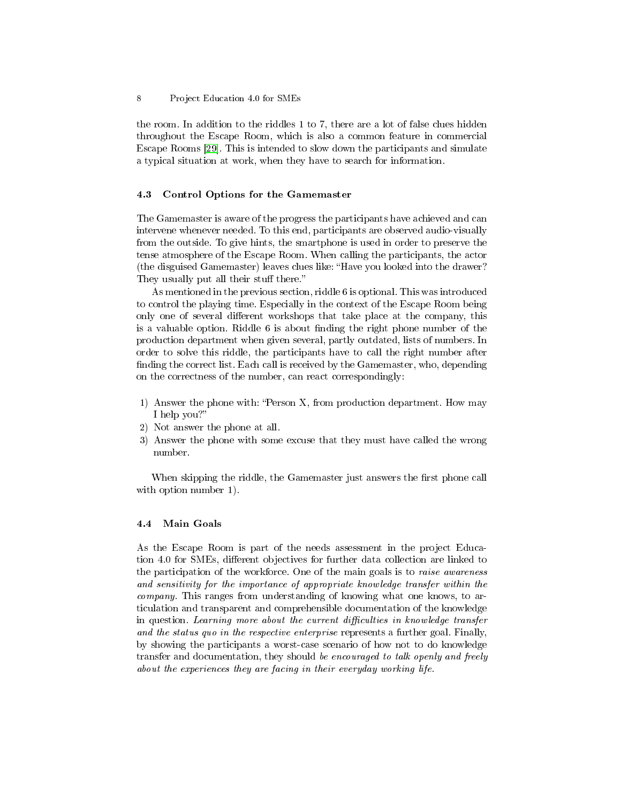the room. In addition to the riddles 1 to 7, there are a lot of false clues hidden throughout the Escape Room, which is also a common feature in commercial Escape Rooms [\[29\]](#page-13-11). This is intended to slow down the participants and simulate a typical situation at work, when they have to search for information.

### <span id="page-7-0"></span>4.3 Control Options for the Gamemaster

The Gamemaster is aware of the progress the participants have achieved and can intervene whenever needed. To this end, participants are observed audio-visually from the outside. To give hints, the smartphone is used in order to preserve the tense atmosphere of the Escape Room. When calling the participants, the actor (the disguised Gamemaster) leaves clues like: "Have you looked into the drawer? They usually put all their stuff there."

As mentioned in the previous section, riddle 6 is optional. This was introduced to control the playing time. Especially in the context of the Escape Room being only one of several different workshops that take place at the company, this is a valuable option. Riddle  $6$  is about finding the right phone number of the production department when given several, partly outdated, lists of numbers. In order to solve this riddle, the participants have to call the right number after finding the correct list. Each call is received by the Gamemaster, who, depending on the correctness of the number, can react correspondingly:

- 1) Answer the phone with: Person X, from production department. How may I help you?
- 2) Not answer the phone at all.
- 3) Answer the phone with some excuse that they must have called the wrong number.

When skipping the riddle, the Gamemaster just answers the first phone call with option number 1).

### 4.4 Main Goals

As the Escape Room is part of the needs assessment in the project Education 4.0 for SMEs, different objectives for further data collection are linked to the participation of the workforce. One of the main goals is to raise awareness and sensitivity for the importance of appropriate knowledge transfer within the company. This ranges from understanding of knowing what one knows, to articulation and transparent and comprehensible documentation of the knowledge in question. Learning more about the current difficulties in knowledge transfer and the status quo in the respective enterprise represents a further goal. Finally, by showing the participants a worst-case scenario of how not to do knowledge transfer and documentation, they should be encouraged to talk openly and freely about the experiences they are facing in their everyday working life.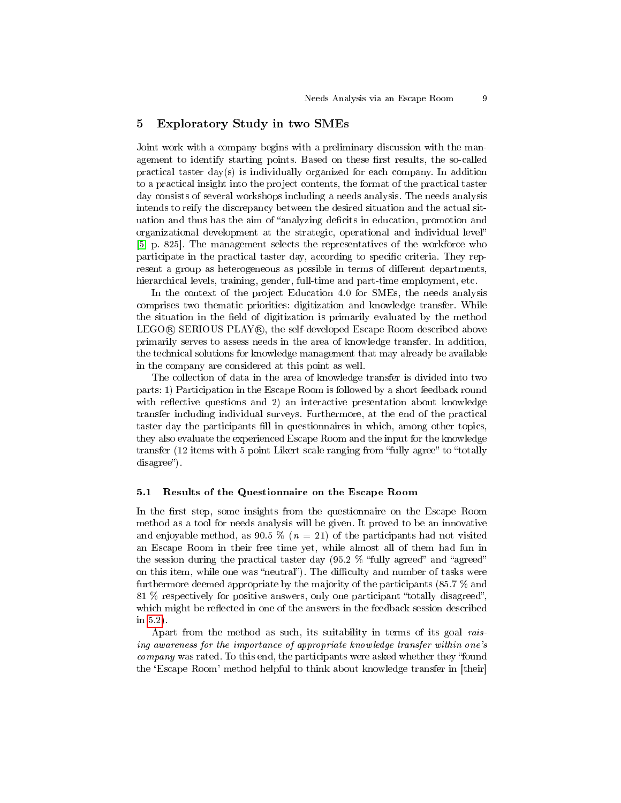### 5 Exploratory Study in two SMEs

Joint work with a company begins with a preliminary discussion with the management to identify starting points. Based on these first results, the so-called practical taster day(s) is individually organized for each company. In addition to a practical insight into the project contents, the format of the practical taster day consists of several workshops including a needs analysis. The needs analysis intends to reify the discrepancy between the desired situation and the actual situation and thus has the aim of "analyzing deficits in education, promotion and organizational development at the strategic, operational and individual level [\[5,](#page-12-12) p. 825]. The management selects the representatives of the workforce who participate in the practical taster day, according to specific criteria. They represent a group as heterogeneous as possible in terms of different departments, hierarchical levels, training, gender, full-time and part-time employment, etc.

In the context of the project Education 4.0 for SMEs, the needs analysis comprises two thematic priorities: digitization and knowledge transfer. While the situation in the field of digitization is primarily evaluated by the method LEGO® SERIOUS PLAY®, the self-developed Escape Room described above primarily serves to assess needs in the area of knowledge transfer. In addition, the technical solutions for knowledge management that may already be available in the company are considered at this point as well.

The collection of data in the area of knowledge transfer is divided into two parts: 1) Participation in the Escape Room is followed by a short feedback round with reflective questions and 2) an interactive presentation about knowledge transfer including individual surveys. Furthermore, at the end of the practical taster day the participants fill in questionnaires in which, among other topics, they also evaluate the experienced Escape Room and the input for the knowledge transfer (12 items with 5 point Likert scale ranging from "fully agree" to "totally disagree").

#### 5.1 Results of the Questionnaire on the Escape Room

In the first step, some insights from the questionnaire on the Escape Room method as a tool for needs analysis will be given. It proved to be an innovative and enjoyable method, as 90.5 % ( $n = 21$ ) of the participants had not visited an Escape Room in their free time yet, while almost all of them had fun in the session during the practical taster day  $(95.2 \%$  "fully agreed" and "agreed" on this item, while one was "neutral"). The difficulty and number of tasks were furthermore deemed appropriate by the majority of the participants (85.7 % and 81  $%$  respectively for positive answers, only one participant "totally disagreed", which might be reflected in one of the answers in the feedback session described in [5.2\)](#page-9-0).

Apart from the method as such, its suitability in terms of its goal raising awareness for the importance of appropriate knowledge transfer within one's company was rated. To this end, the participants were asked whether they "found the `Escape Room' method helpful to think about knowledge transfer in [their]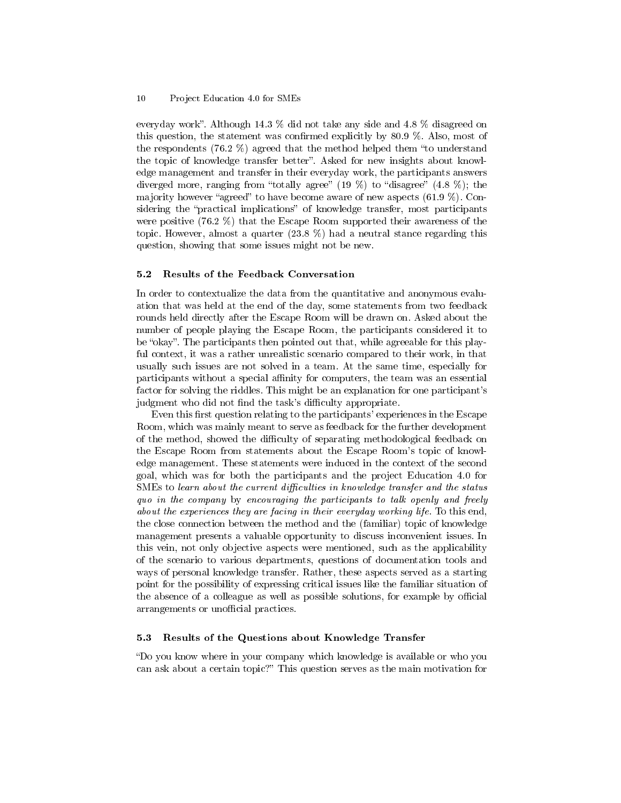#### 10 Project Education 4.0 for SMEs

everyday work. Although 14.3 % did not take any side and 4.8 % disagreed on this question, the statement was confirmed explicitly by  $80.9\%$ . Also, most of the respondents (76.2  $\%$ ) agreed that the method helped them "to understand the topic of knowledge transfer better". Asked for new insights about knowledge management and transfer in their everyday work, the participants answers diverged more, ranging from "totally agree"  $(19 \%)$  to "disagree"  $(4.8 \%)$ ; the majority however "agreed" to have become aware of new aspects  $(61.9\%)$ . Considering the "practical implications" of knowledge transfer, most participants were positive  $(76.2\%)$  that the Escape Room supported their awareness of the topic. However, almost a quarter (23.8 %) had a neutral stance regarding this question, showing that some issues might not be new.

#### <span id="page-9-0"></span>5.2 Results of the Feedback Conversation

In order to contextualize the data from the quantitative and anonymous evaluation that was held at the end of the day, some statements from two feedback rounds held directly after the Escape Room will be drawn on. Asked about the number of people playing the Escape Room, the participants considered it to be "okay". The participants then pointed out that, while agreeable for this playful context, it was a rather unrealistic scenario compared to their work, in that usually such issues are not solved in a team. At the same time, especially for participants without a special affinity for computers, the team was an essential factor for solving the riddles. This might be an explanation for one participant's judgment who did not find the task's difficulty appropriate.

Even this first question relating to the participants' experiences in the Escape Room, which was mainly meant to serve as feedback for the further development of the method, showed the difficulty of separating methodological feedback on the Escape Room from statements about the Escape Room's topic of knowledge management. These statements were induced in the context of the second goal, which was for both the participants and the project Education 4.0 for  $\text{SMEs}$  to learn about the current difficulties in knowledge transfer and the status quo in the company by encouraging the participants to talk openly and freely about the experiences they are facing in their everyday working life. To this end, the close connection between the method and the (familiar) topic of knowledge management presents a valuable opportunity to discuss inconvenient issues. In this vein, not only objective aspects were mentioned, such as the applicability of the scenario to various departments, questions of documentation tools and ways of personal knowledge transfer. Rather, these aspects served as a starting point for the possibility of expressing critical issues like the familiar situation of the absence of a colleague as well as possible solutions, for example by official arrangements or unofficial practices.

### 5.3 Results of the Questions about Knowledge Transfer

Do you know where in your company which knowledge is available or who you can ask about a certain topic?" This question serves as the main motivation for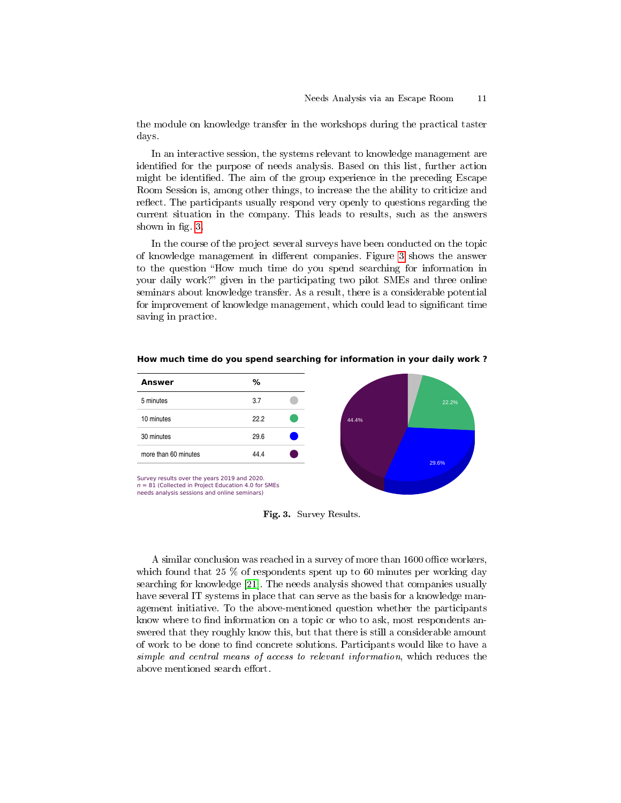the module on knowledge transfer in the workshops during the practical taster days.

In an interactive session, the systems relevant to knowledge management are identified for the purpose of needs analysis. Based on this list, further action might be identified. The aim of the group experience in the preceding Escape Room Session is, among other things, to increase the the ability to criticize and reflect. The participants usually respond very openly to questions regarding the current situation in the company. This leads to results, such as the answers shown in fig. [3.](#page-10-0)

In the course of the project several surveys have been conducted on the topic of knowledge management in different companies. Figure [3](#page-10-0) shows the answer to the question "How much time do you spend searching for information in your daily work?" given in the participating two pilot SMEs and three online seminars about knowledge transfer. As a result, there is a considerable potential for improvement of knowledge management, which could lead to significant time saving in practice.



**How much time do you spend searching for information in your daily work ?**

<span id="page-10-0"></span>Fig. 3. Survey Results.

A similar conclusion was reached in a survey of more than 1600 office workers, which found that 25 % of respondents spent up to 60 minutes per working day searching for knowledge [\[21\]](#page-13-0). The needs analysis showed that companies usually have several IT systems in place that can serve as the basis for a knowledge management initiative. To the above-mentioned question whether the participants know where to find information on a topic or who to ask, most respondents answered that they roughly know this, but that there is still a considerable amount of work to be done to find concrete solutions. Participants would like to have a simple and central means of access to relevant information, which reduces the above mentioned search effort.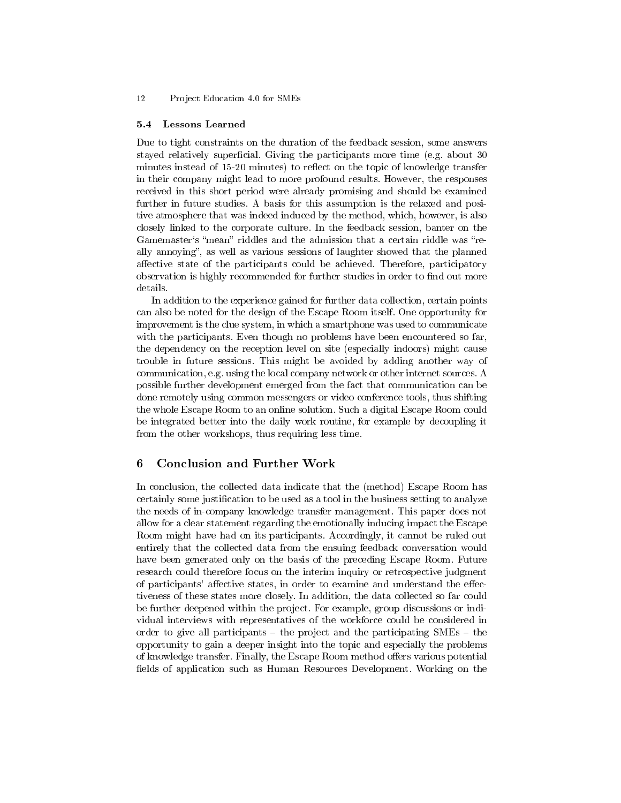#### 12 Project Education 4.0 for SMEs

#### 5.4 Lessons Learned

Due to tight constraints on the duration of the feedback session, some answers stayed relatively superficial. Giving the participants more time (e.g. about  $30$ minutes instead of 15-20 minutes) to reflect on the topic of knowledge transfer in their company might lead to more profound results. However, the responses received in this short period were already promising and should be examined further in future studies. A basis for this assumption is the relaxed and positive atmosphere that was indeed induced by the method, which, however, is also closely linked to the corporate culture. In the feedback session, banter on the Gamemaster's "mean" riddles and the admission that a certain riddle was "really annoying", as well as various sessions of laughter showed that the planned affective state of the participants could be achieved. Therefore, participatory observation is highly recommended for further studies in order to find out more details.

In addition to the experience gained for further data collection, certain points can also be noted for the design of the Escape Room itself. One opportunity for improvement is the clue system, in which a smartphone was used to communicate with the participants. Even though no problems have been encountered so far, the dependency on the reception level on site (especially indoors) might cause trouble in future sessions. This might be avoided by adding another way of communication, e.g. using the local company network or other internet sources. A possible further development emerged from the fact that communication can be done remotely using common messengers or video conference tools, thus shifting the whole Escape Room to an online solution. Such a digital Escape Room could be integrated better into the daily work routine, for example by decoupling it from the other workshops, thus requiring less time.

# 6 Conclusion and Further Work

In conclusion, the collected data indicate that the (method) Escape Room has certainly some justification to be used as a tool in the business setting to analyze the needs of in-company knowledge transfer management. This paper does not allow for a clear statement regarding the emotionally inducing impact the Escape Room might have had on its participants. Accordingly, it cannot be ruled out entirely that the collected data from the ensuing feedback conversation would have been generated only on the basis of the preceding Escape Room. Future research could therefore focus on the interim inquiry or retrospective judgment of participants' affective states, in order to examine and understand the effectiveness of these states more closely. In addition, the data collected so far could be further deepened within the project. For example, group discussions or individual interviews with representatives of the workforce could be considered in order to give all participants  $-$  the project and the participating SMEs  $-$  the opportunity to gain a deeper insight into the topic and especially the problems of knowledge transfer. Finally, the Escape Room method offers various potential fields of application such as Human Resources Development. Working on the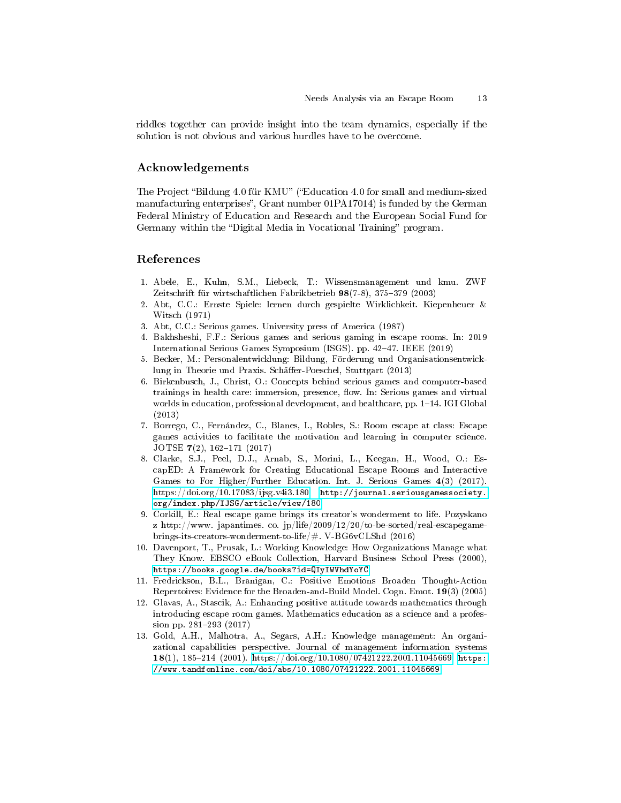riddles together can provide insight into the team dynamics, especially if the solution is not obvious and various hurdles have to be overcome.

### Acknowledgements

The Project "Bildung 4.0 für KMU" ("Education 4.0 for small and medium-sized manufacturing enterprises", Grant number 01PA17014) is funded by the German Federal Ministry of Education and Research and the European Social Fund for Germany within the "Digital Media in Vocational Training" program.

### References

- <span id="page-12-1"></span>1. Abele, E., Kuhn, S.M., Liebeck, T.: Wissensmanagement und kmu. ZWF Zeitschrift für wirtschaftlichen Fabrikbetrieb 98(7-8), 375-379 (2003)
- <span id="page-12-4"></span>2. Abt, C.C.: Ernste Spiele: lernen durch gespielte Wirklichkeit. Kiepenheuer & Witsch (1971)
- <span id="page-12-5"></span>3. Abt, C.C.: Serious games. University press of America (1987)
- <span id="page-12-6"></span>4. Bakhsheshi, F.F.: Serious games and serious gaming in escape rooms. In: 2019 International Serious Games Symposium (ISGS). pp. 4247. IEEE (2019)
- <span id="page-12-12"></span>5. Becker, M.: Personalentwicklung: Bildung, Förderung und Organisationsentwicklung in Theorie und Praxis. Schäffer-Poeschel, Stuttgart (2013)
- <span id="page-12-3"></span>6. Birkenbusch, J., Christ, O.: Concepts behind serious games and computer-based trainings in health care: immersion, presence, flow. In: Serious games and virtual worlds in education, professional development, and healthcare, pp.  $1-14$ . IGI Global (2013)
- <span id="page-12-8"></span>7. Borrego, C., Fernández, C., Blanes, I., Robles, S.: Room escape at class: Escape games activities to facilitate the motivation and learning in computer science. JOTSE  $7(2)$ , 162-171 (2017)
- <span id="page-12-10"></span>8. Clarke, S.J., Peel, D.J., Arnab, S., Morini, L., Keegan, H., Wood, O.: EscapED: A Framework for Creating Educational Escape Rooms and Interactive Games to For Higher/Further Education. Int. J. Serious Games 4(3) (2017). [https://doi.org/10.17083/ijsg.v4i3.180,](https://doi.org/10.17083/ijsg.v4i3.180) [http://journal.seriousgamessociety.](http://journal.seriousgamessociety.org/index.php/IJSG/article/view/180) [org/index.php/IJSG/article/view/180](http://journal.seriousgamessociety.org/index.php/IJSG/article/view/180)
- <span id="page-12-7"></span>9. Corkill, E.: Real escape game brings its creator's wonderment to life. Pozyskano z http://www.japantimes.co.jp/life/2009/12/20/to-be-sorted/real-escapegamebrings-its-creators-wonderment-to-life/#. V-BG6vCLShd (2016)
- <span id="page-12-2"></span>10. Davenport, T., Prusak, L.: Working Knowledge: How Organizations Manage what They Know. EBSCO eBook Collection, Harvard Business School Press (2000), <https://books.google.de/books?id=QIyIWVhdYoYC>
- <span id="page-12-11"></span>11. Fredrickson, B.L., Branigan, C.: Positive Emotions Broaden Thought-Action Repertoires: Evidence for the Broaden-and-Build Model. Cogn. Emot. 19(3) (2005)
- <span id="page-12-9"></span>12. Glavas, A., Stascik, A.: Enhancing positive attitude towards mathematics through introducing escape room games. Mathematics education as a science and a profession pp. 281-293 (2017)
- <span id="page-12-0"></span>13. Gold, A.H., Malhotra, A., Segars, A.H.: Knowledge management: An organizational capabilities perspective. Journal of management information systems 18(1), 185-214 (2001). [https://doi.org/10.1080/07421222.2001.11045669,](https://doi.org/10.1080/07421222.2001.11045669) [https:](https://www.tandfonline.com/doi/abs/10.1080/07421222.2001.11045669) [//www.tandfonline.com/doi/abs/10.1080/07421222.2001.11045669](https://www.tandfonline.com/doi/abs/10.1080/07421222.2001.11045669)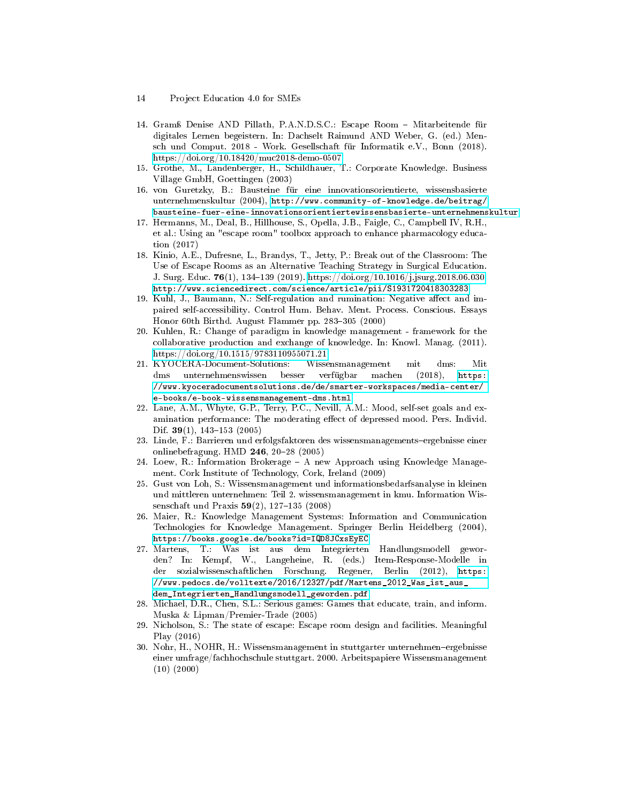- 14 Project Education 4.0 for SMEs
- <span id="page-13-13"></span>14. Gramÿ Denise AND Pillath, P.A.N.D.S.C.: Escape Room Mitarbeitende für digitales Lernen begeistern. In: Dachselt Raimund AND Weber, G. (ed.) Mensch und Comput. 2018 - Work. Gesellschaft für Informatik e.V., Bonn (2018). <https://doi.org/10.18420/muc2018-demo-0507>
- <span id="page-13-4"></span>15. Grothe, M., Landenberger, H., Schildhauer, T.: Corporate Knowledge. Business Village GmbH, Goettingen (2003)
- <span id="page-13-7"></span>16. von Guretzky, B.: Bausteine für eine innovationsorientierte, wissensbasierte unternehmenskultur (2004), [http://www.community-of-knowledge.de/beitrag/](http://www.community-of-knowledge.de/beitrag/bausteine-fuer-eine-innovationsorientiertewissensbasierte-unternehmenskultur) [bausteine-fuer-eine-innovationsorientiertewissensbasierte-unternehmenskultur](http://www.community-of-knowledge.de/beitrag/bausteine-fuer-eine-innovationsorientiertewissensbasierte-unternehmenskultur)
- <span id="page-13-12"></span>17. Hermanns, M., Deal, B., Hillhouse, S., Opella, J.B., Faigle, C., Campbell IV, R.H., et al.: Using an "escape room" toolbox approach to enhance pharmacology education (2017)
- <span id="page-13-9"></span>18. Kinio, A.E., Dufresne, L., Brandys, T., Jetty, P.: Break out of the Classroom: The Use of Escape Rooms as an Alternative Teaching Strategy in Surgical Education. J. Surg. Educ. 76(1), 134-139 (2019). [https://doi.org/10.1016/j.jsurg.2018.06.030,](https://doi.org/10.1016/j.jsurg.2018.06.030) <http://www.sciencedirect.com/science/article/pii/S1931720418303283>
- <span id="page-13-15"></span>19. Kuhl, J., Baumann, N.: Self-regulation and rumination: Negative affect and impaired self-accessibility. Control Hum. Behav. Ment. Process. Conscious. Essays Honor 60th Birthd. August Flammer pp.  $283-305$  (2000)
- <span id="page-13-1"></span>20. Kuhlen, R.: Change of paradigm in knowledge management - framework for the collaborative production and exchange of knowledge. In: Knowl. Manag. (2011). <https://doi.org/10.1515/9783110955071.21>
- <span id="page-13-0"></span>21. KYOCERA-Document-Solutions: Wissensmanagement mit dms: Mit dms unternehmenswissen besser verfügbar machen (2018), [https:](https://www.kyoceradocumentsolutions.de/de/smarter-workspaces/media-center/e-books/e-book-wissensmanagement-dms.html) [//www.kyoceradocumentsolutions.de/de/smarter-workspaces/media-center/](https://www.kyoceradocumentsolutions.de/de/smarter-workspaces/media-center/e-books/e-book-wissensmanagement-dms.html) [e-books/e-book-wissensmanagement-dms.html](https://www.kyoceradocumentsolutions.de/de/smarter-workspaces/media-center/e-books/e-book-wissensmanagement-dms.html)
- <span id="page-13-14"></span>22. Lane, A.M., Whyte, G.P., Terry, P.C., Nevill, A.M.: Mood, self-set goals and examination performance: The moderating effect of depressed mood. Pers. Individ. Dif.  $39(1)$ , 143-153 (2005)
- <span id="page-13-6"></span>23. Linde, F.: Barrieren und erfolgsfaktoren des wissensmanagements-ergebnisse einer onlinebefragung. HMD  $246$ ,  $20-28$  (2005)
- <span id="page-13-3"></span>24. Loew, R.: Information Brokerage A new Approach using Knowledge Management. Cork Institute of Technology, Cork, Ireland (2009)
- <span id="page-13-2"></span>25. Gust von Loh, S.: Wissensmanagement und informationsbedarfsanalyse in kleinen und mittleren unternehmen: Teil 2. wissensmanagement in kmu. Information Wissenschaft und Praxis  $59(2)$ , 127-135 (2008)
- <span id="page-13-8"></span>26. Maier, R.: Knowledge Management Systems: Information and Communication Technologies for Knowledge Management. Springer Berlin Heidelberg (2004), <https://books.google.de/books?id=IQD8JCxsEyEC>
- <span id="page-13-16"></span>27. Martens, T.: Was ist aus dem Integrierten Handlungsmodell geworden? In: Kempf, W., Langeheine, R. (eds.) Item-Response-Modelle in der sozialwissenschaftlichen Forschung. Regener, Berlin (2012), [https:](https://www.pedocs.de/volltexte/2016/12327/pdf/Martens_2012_Was_ist_aus_dem_Integrierten_Handlungsmodell_geworden.pdf) [//www.pedocs.de/volltexte/2016/12327/pdf/Martens\\_2012\\_Was\\_ist\\_aus\\_](https://www.pedocs.de/volltexte/2016/12327/pdf/Martens_2012_Was_ist_aus_dem_Integrierten_Handlungsmodell_geworden.pdf) [dem\\_Integrierten\\_Handlungsmodell\\_geworden.pdf](https://www.pedocs.de/volltexte/2016/12327/pdf/Martens_2012_Was_ist_aus_dem_Integrierten_Handlungsmodell_geworden.pdf)
- <span id="page-13-10"></span>28. Michael, D.R., Chen, S.L.: Serious games: Games that educate, train, and inform. Muska & Lipman/Premier-Trade (2005)
- <span id="page-13-11"></span>29. Nicholson, S.: The state of escape: Escape room design and facilities. Meaningful Play (2016)
- <span id="page-13-5"></span>30. Nohr, H., NOHR, H.: Wissensmanagement in stuttgarter unternehmen-ergebnisse einer umfrage/fachhochschule stuttgart. 2000. Arbeitspapiere Wissensmanagement (10) (2000)